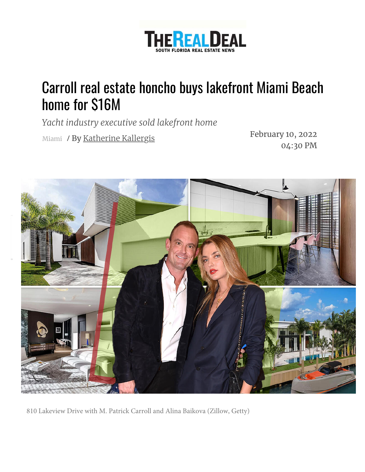

## Carroll real estate honcho buys lakefront Miami Beach home for \$16M

*Yacht industry executive sold lakefront home*

Miami / February 10, 2022 04:30 PM By [Katherine Kallergis](https://therealdeal.com/miami/author/katherine-kallergis/)



810 Lakeview Drive with M. Patrick Carroll and Alina Baikova (Zillow, Getty)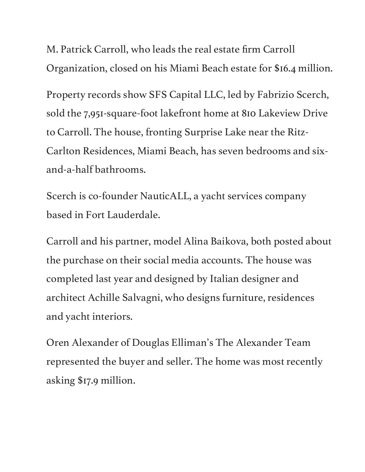M. Patrick Carroll, who leads the real estate firm Carroll Organization, closed on his Miami Beach estate for \$16.4 million.

Property records show SFS Capital LLC, led by Fabrizio Scerch, sold the 7,951-square-foot lakefront home at 810 Lakeview Drive to Carroll. The house, fronting Surprise Lake near the Ritz-Carlton Residences, Miami Beach, has seven bedrooms and sixand-a-half bathrooms.

Scerch is co-founder NauticALL, a yacht services company based in Fort Lauderdale.

Carroll and his partner, model Alina Baikova, both posted about the purchase on their social media accounts. The house was completed last year and designed by Italian designer and architect Achille Salvagni, who designs furniture, residences and yacht interiors.

Oren Alexander of Douglas Elliman's The Alexander Team represented the buyer and seller. The home was most recently asking \$17.9 million.